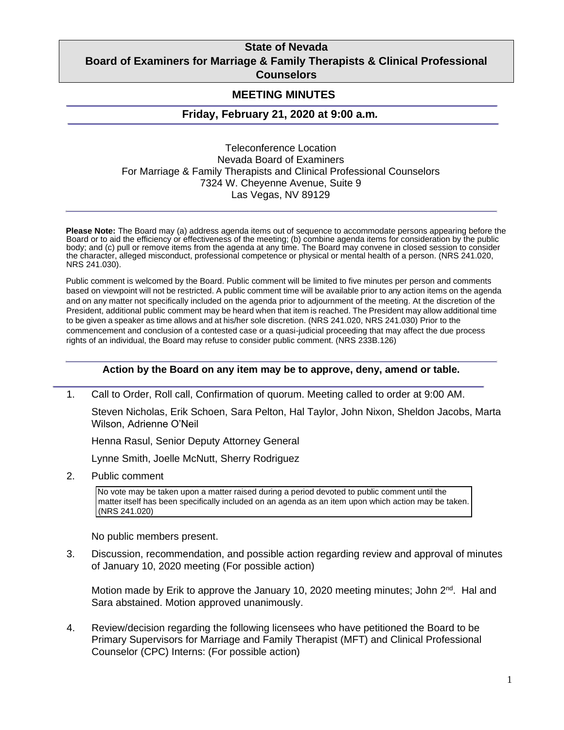## **State of Nevada Board of Examiners for Marriage & Family Therapists & Clinical Professional Counselors**

## **MEETING MINUTES**

## **Friday, February 21, 2020 at 9:00 a.m***.*

Teleconference Location Nevada Board of Examiners For Marriage & Family Therapists and Clinical Professional Counselors 7324 W. Cheyenne Avenue, Suite 9 Las Vegas, NV 89129

**Please Note:** The Board may (a) address agenda items out of sequence to accommodate persons appearing before the Board or to aid the efficiency or effectiveness of the meeting; (b) combine agenda items for consideration by the public body; and (c) pull or remove items from the agenda at any time. The Board may convene in closed session to consider the character, alleged misconduct, professional competence or physical or mental health of a person. (NRS 241.020, NRS 241.030).

Public comment is welcomed by the Board. Public comment will be limited to five minutes per person and comments based on viewpoint will not be restricted. A public comment time will be available prior to any action items on the agenda and on any matter not specifically included on the agenda prior to adjournment of the meeting. At the discretion of the President, additional public comment may be heard when that item is reached. The President may allow additional time to be given a speaker as time allows and at his/her sole discretion. (NRS 241.020, NRS 241.030) Prior to the commencement and conclusion of a contested case or a quasi-judicial proceeding that may affect the due process rights of an individual, the Board may refuse to consider public comment. (NRS 233B.126)

## **Action by the Board on any item may be to approve, deny, amend or table.**

1. Call to Order, Roll call, Confirmation of quorum. Meeting called to order at 9:00 AM.

Steven Nicholas, Erik Schoen, Sara Pelton, Hal Taylor, John Nixon, Sheldon Jacobs, Marta Wilson, Adrienne O'Neil

Henna Rasul, Senior Deputy Attorney General

Lynne Smith, Joelle McNutt, Sherry Rodriguez

2. Public comment

No vote may be taken upon a matter raised during a period devoted to public comment until the matter itself has been specifically included on an agenda as an item upon which action may be taken. (NRS 241.020)

No public members present.

3. Discussion, recommendation, and possible action regarding review and approval of minutes of January 10, 2020 meeting (For possible action)

Motion made by Erik to approve the January 10, 2020 meeting minutes; John 2<sup>nd</sup>. Hal and Sara abstained. Motion approved unanimously.

4. Review/decision regarding the following licensees who have petitioned the Board to be Primary Supervisors for Marriage and Family Therapist (MFT) and Clinical Professional Counselor (CPC) Interns: (For possible action)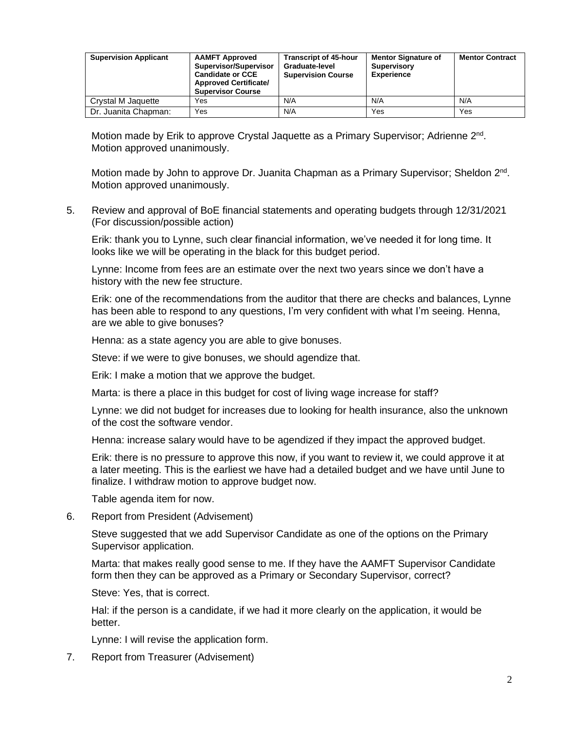| <b>Supervision Applicant</b> | <b>AAMFT Approved</b><br>Supervisor/Supervisor<br><b>Candidate or CCE</b><br><b>Approved Certificate/</b><br><b>Supervisor Course</b> | <b>Transcript of 45-hour</b><br>Graduate-level<br><b>Supervision Course</b> | <b>Mentor Signature of</b><br><b>Supervisory</b><br><b>Experience</b> | <b>Mentor Contract</b> |
|------------------------------|---------------------------------------------------------------------------------------------------------------------------------------|-----------------------------------------------------------------------------|-----------------------------------------------------------------------|------------------------|
| Crystal M Jaquette           | Yes                                                                                                                                   | N/A                                                                         | N/A                                                                   | N/A                    |
| Dr. Juanita Chapman:         | Yes                                                                                                                                   | N/A                                                                         | Yes                                                                   | Yes                    |

Motion made by Erik to approve Crystal Jaquette as a Primary Supervisor; Adrienne 2<sup>nd</sup>. Motion approved unanimously.

Motion made by John to approve Dr. Juanita Chapman as a Primary Supervisor; Sheldon 2<sup>nd</sup>. Motion approved unanimously.

5. Review and approval of BoE financial statements and operating budgets through 12/31/2021 (For discussion/possible action)

Erik: thank you to Lynne, such clear financial information, we've needed it for long time. It looks like we will be operating in the black for this budget period.

Lynne: Income from fees are an estimate over the next two years since we don't have a history with the new fee structure.

Erik: one of the recommendations from the auditor that there are checks and balances, Lynne has been able to respond to any questions, I'm very confident with what I'm seeing. Henna, are we able to give bonuses?

Henna: as a state agency you are able to give bonuses.

Steve: if we were to give bonuses, we should agendize that.

Erik: I make a motion that we approve the budget.

Marta: is there a place in this budget for cost of living wage increase for staff?

Lynne: we did not budget for increases due to looking for health insurance, also the unknown of the cost the software vendor.

Henna: increase salary would have to be agendized if they impact the approved budget.

Erik: there is no pressure to approve this now, if you want to review it, we could approve it at a later meeting. This is the earliest we have had a detailed budget and we have until June to finalize. I withdraw motion to approve budget now.

Table agenda item for now.

6. Report from President (Advisement)

Steve suggested that we add Supervisor Candidate as one of the options on the Primary Supervisor application.

Marta: that makes really good sense to me. If they have the AAMFT Supervisor Candidate form then they can be approved as a Primary or Secondary Supervisor, correct?

Steve: Yes, that is correct.

Hal: if the person is a candidate, if we had it more clearly on the application, it would be better.

Lynne: I will revise the application form.

7. Report from Treasurer (Advisement)